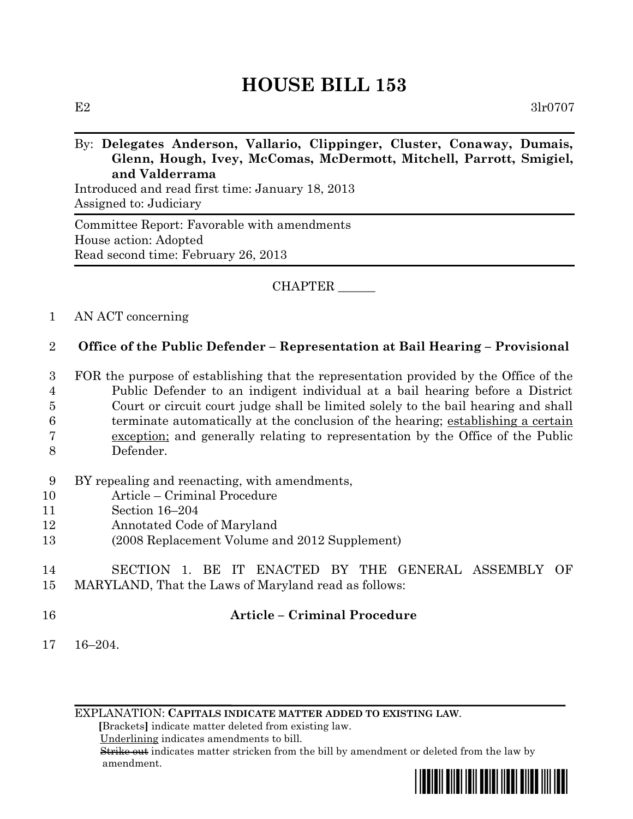# **HOUSE BILL 153**

### By: **Delegates Anderson, Vallario, Clippinger, Cluster, Conaway, Dumais, Glenn, Hough, Ivey, McComas, McDermott, Mitchell, Parrott, Smigiel, and Valderrama**

Introduced and read first time: January 18, 2013 Assigned to: Judiciary

Committee Report: Favorable with amendments House action: Adopted Read second time: February 26, 2013

CHAPTER \_\_\_\_\_\_

#### 1 AN ACT concerning

# 2 **Office of the Public Defender – Representation at Bail Hearing – Provisional**

 FOR the purpose of establishing that the representation provided by the Office of the Public Defender to an indigent individual at a bail hearing before a District Court or circuit court judge shall be limited solely to the bail hearing and shall terminate automatically at the conclusion of the hearing; establishing a certain exception; and generally relating to representation by the Office of the Public Defender.

#### 9 BY repealing and reenacting, with amendments,

- 10 Article Criminal Procedure
- 11 Section 16–204
- 12 Annotated Code of Maryland
- 13 (2008 Replacement Volume and 2012 Supplement)

# 14 SECTION 1. BE IT ENACTED BY THE GENERAL ASSEMBLY OF 15 MARYLAND, That the Laws of Maryland read as follows:

# 16 **Article – Criminal Procedure**

17 16–204.

EXPLANATION: **CAPITALS INDICATE MATTER ADDED TO EXISTING LAW**.

 **[**Brackets**]** indicate matter deleted from existing law.

Underlining indicates amendments to bill.

 Strike out indicates matter stricken from the bill by amendment or deleted from the law by amendment.

\*hb0153\*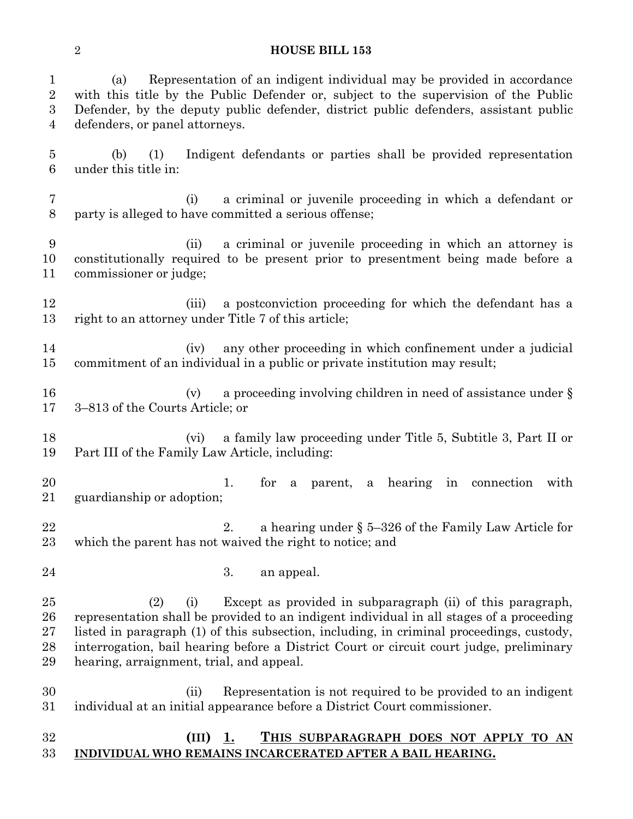#### **HOUSE BILL 153**

| $\mathbf{1}$<br>$\sqrt{2}$<br>$\overline{3}$<br>$\overline{4}$ | Representation of an indigent individual may be provided in accordance<br>(a)<br>with this title by the Public Defender or, subject to the supervision of the Public<br>Defender, by the deputy public defender, district public defenders, assistant public<br>defenders, or panel attorneys.                                                                                                          |
|----------------------------------------------------------------|---------------------------------------------------------------------------------------------------------------------------------------------------------------------------------------------------------------------------------------------------------------------------------------------------------------------------------------------------------------------------------------------------------|
| $\overline{5}$<br>$6\phantom{.}6$                              | Indigent defendants or parties shall be provided representation<br>(b)<br>(1)<br>under this title in:                                                                                                                                                                                                                                                                                                   |
| $\overline{7}$<br>$8\,$                                        | a criminal or juvenile proceeding in which a defendant or<br>(i)<br>party is alleged to have committed a serious offense;                                                                                                                                                                                                                                                                               |
| 9<br>10<br>11                                                  | a criminal or juvenile proceeding in which an attorney is<br>(ii)<br>constitutionally required to be present prior to presentment being made before a<br>commissioner or judge;                                                                                                                                                                                                                         |
| 12<br>13                                                       | a postconviction proceeding for which the defendant has a<br>(iii)<br>right to an attorney under Title 7 of this article;                                                                                                                                                                                                                                                                               |
| 14<br>15                                                       | any other proceeding in which confinement under a judicial<br>(iv)<br>commitment of an individual in a public or private institution may result;                                                                                                                                                                                                                                                        |
| 16<br>17                                                       | a proceeding involving children in need of assistance under $\S$<br>(v)<br>3–813 of the Courts Article; or                                                                                                                                                                                                                                                                                              |
| 18<br>19                                                       | a family law proceeding under Title 5, Subtitle 3, Part II or<br>(vi)<br>Part III of the Family Law Article, including:                                                                                                                                                                                                                                                                                 |
| 20<br>21                                                       | 1.<br>for<br>a parent, a hearing in connection<br>with<br>guardianship or adoption;                                                                                                                                                                                                                                                                                                                     |
| 22<br>23                                                       | 2.<br>a hearing under $\S 5-326$ of the Family Law Article for<br>which the parent has not waived the right to notice; and                                                                                                                                                                                                                                                                              |
| 24                                                             | 3.<br>an appeal.                                                                                                                                                                                                                                                                                                                                                                                        |
| 25<br>26<br>27<br>28<br>29                                     | Except as provided in subparagraph (ii) of this paragraph,<br>(2)<br>(i)<br>representation shall be provided to an indigent individual in all stages of a proceeding<br>listed in paragraph (1) of this subsection, including, in criminal proceedings, custody,<br>interrogation, bail hearing before a District Court or circuit court judge, preliminary<br>hearing, arraignment, trial, and appeal. |
| 30<br>31                                                       | Representation is not required to be provided to an indigent<br>(ii)<br>individual at an initial appearance before a District Court commissioner.                                                                                                                                                                                                                                                       |
| 32<br>33                                                       | (III)<br>THIS SUBPARAGRAPH DOES NOT APPLY TO AN<br>1.<br>INDIVIDUAL WHO REMAINS INCARCERATED AFTER A BAIL HEARING.                                                                                                                                                                                                                                                                                      |